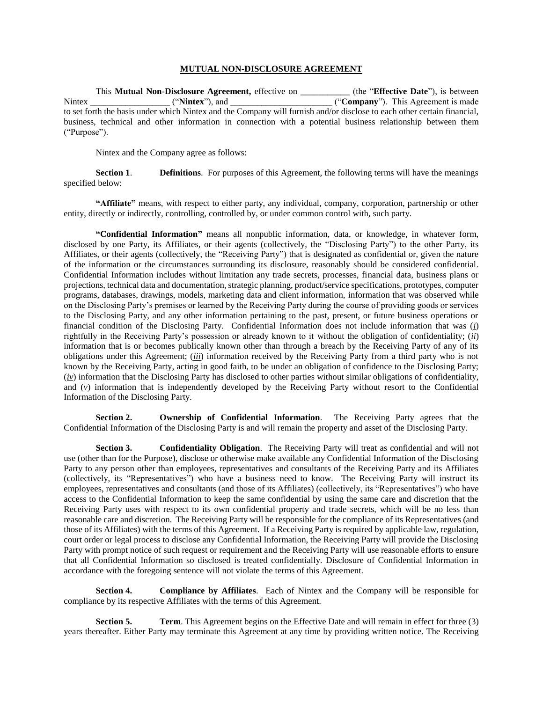## **MUTUAL NON-DISCLOSURE AGREEMENT**

This **Mutual Non-Disclosure Agreement,** effective on \_\_\_\_\_\_\_\_\_\_\_ (the "**Effective Date**"), is between Nintex \_\_\_\_\_\_\_\_\_\_\_\_\_\_\_\_\_\_ ("**Nintex**"), and \_\_\_\_\_\_\_\_\_\_\_\_\_\_\_\_\_\_\_\_\_\_\_ ("**Company**"). This Agreement is made to set forth the basis under which Nintex and the Company will furnish and/or disclose to each other certain financial, business, technical and other information in connection with a potential business relationship between them ("Purpose").

Nintex and the Company agree as follows:

**Section 1**. **Definitions**. For purposes of this Agreement, the following terms will have the meanings specified below:

**"Affiliate"** means, with respect to either party, any individual, company, corporation, partnership or other entity, directly or indirectly, controlling, controlled by, or under common control with, such party.

**"Confidential Information"** means all nonpublic information, data, or knowledge, in whatever form, disclosed by one Party, its Affiliates, or their agents (collectively, the "Disclosing Party") to the other Party, its Affiliates, or their agents (collectively, the "Receiving Party") that is designated as confidential or, given the nature of the information or the circumstances surrounding its disclosure, reasonably should be considered confidential. Confidential Information includes without limitation any trade secrets, processes, financial data, business plans or projections, technical data and documentation, strategic planning, product/service specifications, prototypes, computer programs, databases, drawings, models, marketing data and client information, information that was observed while on the Disclosing Party's premises or learned by the Receiving Party during the course of providing goods or services to the Disclosing Party, and any other information pertaining to the past, present, or future business operations or financial condition of the Disclosing Party. Confidential Information does not include information that was (*i*) rightfully in the Receiving Party's possession or already known to it without the obligation of confidentiality; (*ii*) information that is or becomes publically known other than through a breach by the Receiving Party of any of its obligations under this Agreement; (*iii*) information received by the Receiving Party from a third party who is not known by the Receiving Party, acting in good faith, to be under an obligation of confidence to the Disclosing Party; (*iv*) information that the Disclosing Party has disclosed to other parties without similar obligations of confidentiality, and (*v*) information that is independently developed by the Receiving Party without resort to the Confidential Information of the Disclosing Party.

**Section 2. Ownership of Confidential Information**. The Receiving Party agrees that the Confidential Information of the Disclosing Party is and will remain the property and asset of the Disclosing Party.

**Section 3. Confidentiality Obligation**. The Receiving Party will treat as confidential and will not use (other than for the Purpose), disclose or otherwise make available any Confidential Information of the Disclosing Party to any person other than employees, representatives and consultants of the Receiving Party and its Affiliates (collectively, its "Representatives") who have a business need to know. The Receiving Party will instruct its employees, representatives and consultants (and those of its Affiliates) (collectively, its "Representatives") who have access to the Confidential Information to keep the same confidential by using the same care and discretion that the Receiving Party uses with respect to its own confidential property and trade secrets, which will be no less than reasonable care and discretion. The Receiving Party will be responsible for the compliance of its Representatives (and those of its Affiliates) with the terms of this Agreement. If a Receiving Party is required by applicable law, regulation, court order or legal process to disclose any Confidential Information, the Receiving Party will provide the Disclosing Party with prompt notice of such request or requirement and the Receiving Party will use reasonable efforts to ensure that all Confidential Information so disclosed is treated confidentially. Disclosure of Confidential Information in accordance with the foregoing sentence will not violate the terms of this Agreement.

**Section 4. Compliance by Affiliates**. Each of Nintex and the Company will be responsible for compliance by its respective Affiliates with the terms of this Agreement.

**Section 5. Term**. This Agreement begins on the Effective Date and will remain in effect for three (3) years thereafter. Either Party may terminate this Agreement at any time by providing written notice. The Receiving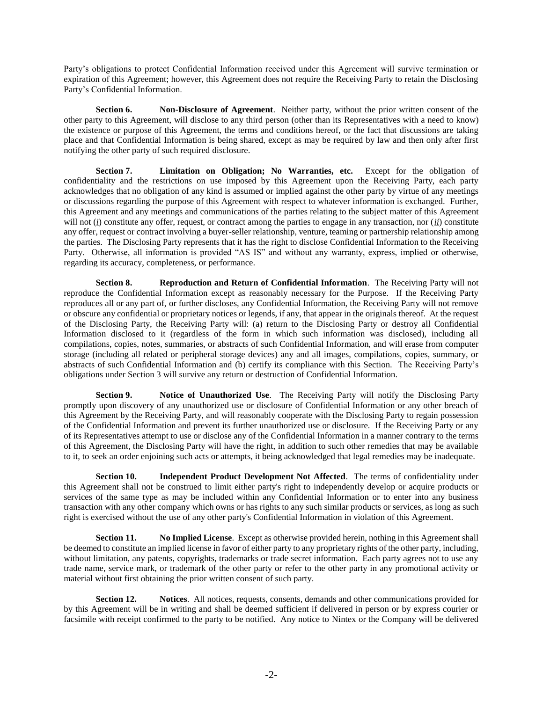Party's obligations to protect Confidential Information received under this Agreement will survive termination or expiration of this Agreement; however, this Agreement does not require the Receiving Party to retain the Disclosing Party's Confidential Information.

**Section 6. Non-Disclosure of Agreement**. Neither party, without the prior written consent of the other party to this Agreement, will disclose to any third person (other than its Representatives with a need to know) the existence or purpose of this Agreement, the terms and conditions hereof, or the fact that discussions are taking place and that Confidential Information is being shared, except as may be required by law and then only after first notifying the other party of such required disclosure.

**Section 7. Limitation on Obligation; No Warranties, etc.** Except for the obligation of confidentiality and the restrictions on use imposed by this Agreement upon the Receiving Party, each party acknowledges that no obligation of any kind is assumed or implied against the other party by virtue of any meetings or discussions regarding the purpose of this Agreement with respect to whatever information is exchanged. Further, this Agreement and any meetings and communications of the parties relating to the subject matter of this Agreement will not (*i*) constitute any offer, request, or contract among the parties to engage in any transaction, nor (*ii*) constitute any offer, request or contract involving a buyer-seller relationship, venture, teaming or partnership relationship among the parties. The Disclosing Party represents that it has the right to disclose Confidential Information to the Receiving Party. Otherwise, all information is provided "AS IS" and without any warranty, express, implied or otherwise, regarding its accuracy, completeness, or performance.

**Section 8. Reproduction and Return of Confidential Information**. The Receiving Party will not reproduce the Confidential Information except as reasonably necessary for the Purpose. If the Receiving Party reproduces all or any part of, or further discloses, any Confidential Information, the Receiving Party will not remove or obscure any confidential or proprietary notices or legends, if any, that appear in the originals thereof. At the request of the Disclosing Party, the Receiving Party will: (a) return to the Disclosing Party or destroy all Confidential Information disclosed to it (regardless of the form in which such information was disclosed), including all compilations, copies, notes, summaries, or abstracts of such Confidential Information, and will erase from computer storage (including all related or peripheral storage devices) any and all images, compilations, copies, summary, or abstracts of such Confidential Information and (b) certify its compliance with this Section. The Receiving Party's obligations under Section 3 will survive any return or destruction of Confidential Information.

**Section 9. Notice of Unauthorized Use**. The Receiving Party will notify the Disclosing Party promptly upon discovery of any unauthorized use or disclosure of Confidential Information or any other breach of this Agreement by the Receiving Party, and will reasonably cooperate with the Disclosing Party to regain possession of the Confidential Information and prevent its further unauthorized use or disclosure. If the Receiving Party or any of its Representatives attempt to use or disclose any of the Confidential Information in a manner contrary to the terms of this Agreement, the Disclosing Party will have the right, in addition to such other remedies that may be available to it, to seek an order enjoining such acts or attempts, it being acknowledged that legal remedies may be inadequate.

**Section 10. Independent Product Development Not Affected**. The terms of confidentiality under this Agreement shall not be construed to limit either party's right to independently develop or acquire products or services of the same type as may be included within any Confidential Information or to enter into any business transaction with any other company which owns or has rights to any such similar products or services, as long as such right is exercised without the use of any other party's Confidential Information in violation of this Agreement.

**Section 11.** No Implied License. Except as otherwise provided herein, nothing in this Agreement shall be deemed to constitute an implied license in favor of either party to any proprietary rights of the other party, including, without limitation, any patents, copyrights, trademarks or trade secret information. Each party agrees not to use any trade name, service mark, or trademark of the other party or refer to the other party in any promotional activity or material without first obtaining the prior written consent of such party.

**Section 12. Notices**. All notices, requests, consents, demands and other communications provided for by this Agreement will be in writing and shall be deemed sufficient if delivered in person or by express courier or facsimile with receipt confirmed to the party to be notified. Any notice to Nintex or the Company will be delivered